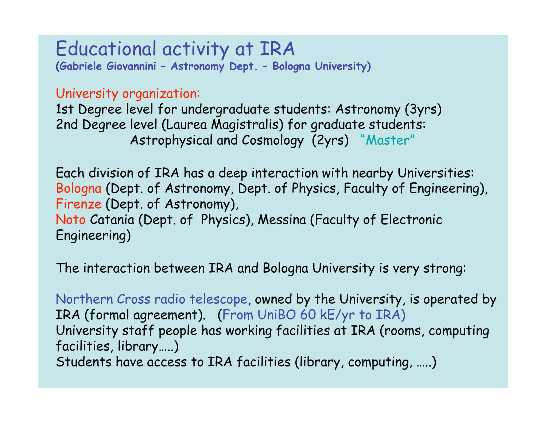Educational activity at IRA **(Gabriele Giovannini – Astronomy Dept. – Bologna University)**

University organization:

1st Degree level for undergraduate students: Astronomy (3yrs) 2nd Degree level (Laurea Magistralis) for graduate students: Astrophysical and Cosmology (2yrs) "Master"

Each division of IRA has a deep interaction with nearby Universities: Bologna (Dept. of Astronomy, Dept. of Physics, Faculty of Engineering), Firenze (Dept. of Astronomy), Noto Catania (Dept. of Physics), Messina (Faculty of Electronic Engineering)

The interaction between IRA and Bologna University is very strong:

Northern Cross radio telescope, owned by the University, is operated by IRA (formal agreement). (From UniBO 60 kE/yr to IRA) University staff people has working facilities at IRA (rooms, computing facilities, library…..) Students have access to IRA facilities (library, computing, …..)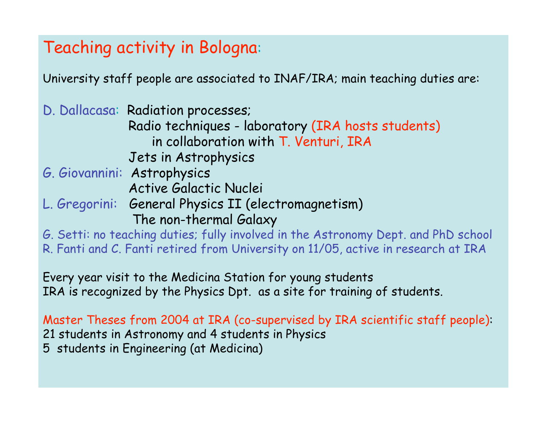## Teaching activity in Bologna:

University staff people are associated to INAF/IRA; main teaching duties are:

D. Dallacasa: Radiation processes; Radio techniques - laboratory (IRA hosts students) in collaboration with T. Venturi, IRA Jets in Astrophysics

- G. Giovannini: Astrophysics Active Galactic Nuclei
- L. Gregorini: General Physics II (electromagnetism) The non-thermal Galaxy

G. Setti: no teaching duties; fully involved in the Astronomy Dept. and PhD school R. Fanti and C. Fanti retired from University on 11/05, active in research at IRA

Every year visit to the Medicina Station for young students IRA is recognized by the Physics Dpt. as a site for training of students.

Master Theses from 2004 at IRA (co-supervised by IRA scientific staff people): 21 students in Astronomy and 4 students in Physics 5 students in Engineering (at Medicina)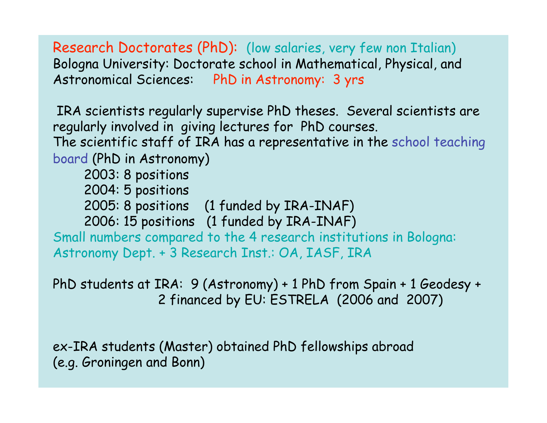Research Doctorates (PhD): (low salaries, very few non Italian) Bologna University: Doctorate school in Mathematical, Physical, and Astronomical Sciences: PhD in Astronomy: 3 yrs

IRA scientists regularly supervise PhD theses. Several scientists are regularly involved in giving lectures for PhD courses. The scientific staff of IRA has a representative in the school teaching board (PhD in Astronomy) 2003: 8 positions

2004: 5 positions

2005: 8 positions (1 funded by IRA-INAF)

2006: 15 positions (1 funded by IRA-INAF)

Small numbers compared to the 4 research institutions in Bologna: Astronomy Dept. + 3 Research Inst.: OA, IASF, IRA

PhD students at IRA: 9 (Astronomy) + 1 PhD from Spain + 1 Geodesy + 2 financed by EU: ESTRELA (2006 and 2007)

ex-IRA students (Master) obtained PhD fellowships abroad (e.g. Groningen and Bonn)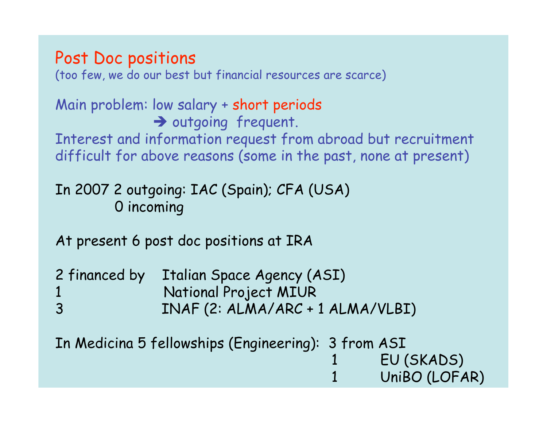## Post Doc positions

(too few, we do our best but financial resources are scarce)

Main problem: low salary + short periods  $\rightarrow$  outgoing frequent. Interest and information request from abroad but recruitment difficult for above reasons (some in the past, none at present)

## In 2007 2 outgoing: IAC (Spain); CFA (USA) 0 incoming

At present 6 post doc positions at IRA

|                | 2 financed by Italian Space Agency (ASI) |
|----------------|------------------------------------------|
|                | National Project MIUR                    |
| $\overline{3}$ | INAF (2: ALMA/ARC + 1 ALMA/VLBI)         |

In Medicina 5 fellowships (Engineering): 3 from ASI EU (SKADS) UniBO (LOFAR)